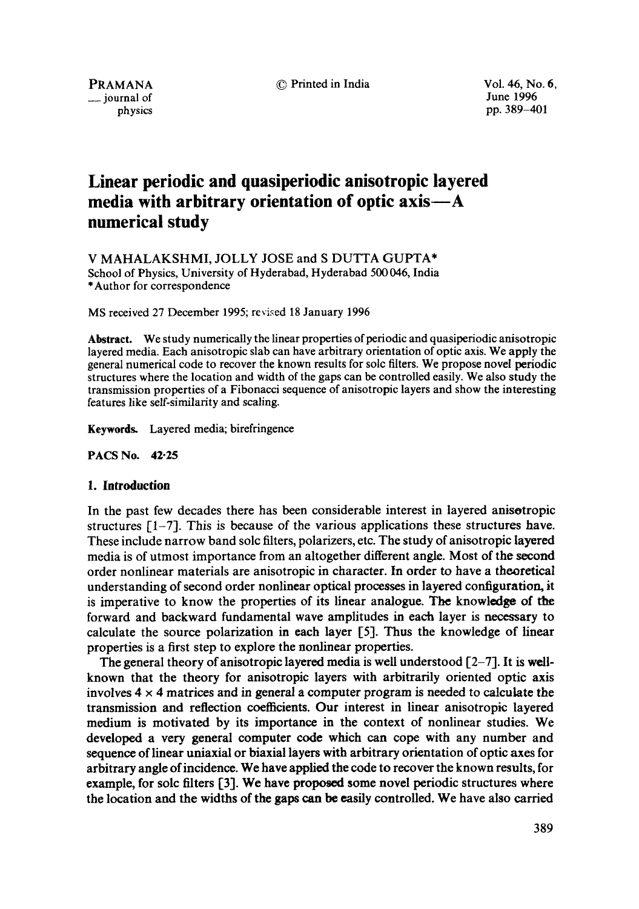© Printed in India Vol. 46, No. 6,

PRAMANA \_\_ journal of physics June 1996 pp. 389-401

# **Linear periodic and quasiperiodic anisotropic layered**  media with arbitrary orientation of optic axis—A **numerical study**

V MAHALAKSHMI, JOLLY JOSE and S DUTTA GUPTA\* School of Physics, University of Hyderabad, Hyderabad 500 046, India \*Author for correspondence

MS received 27 December 1995; revised 18 January 1996

**Abstract.** We study numerically the linear properties of periodic and quasiperiodic anisotropic layered media. Each anisotropic slab can have arbitrary orientation of optic axis. We apply the general numerical code to recover the known results for sole filters. We propose novel periodic structures where the location and width of the gaps can be controlled easily. We also study the transmission properties of a Fibonacci sequence of anisotropic layers and show the interesting features like self-similarity and scaling.

Keywords. Layered media; birefringence

**PACS No. 42.25** 

#### **1. Introduction**

In the past few decades there has been considerable interest in layered anisotropic structures  $[-7]$ . This is because of the various applications these structures have. These include narrow band solc filters, polarizers, etc. The study of anisotropic layered media is of utmost importance from an altogether different angle. Most of the second order nonlinear materials are anisotropic in character. In order to have a theoretical understanding of second order nonlinear optical processes in layered configuration, it is imperative to know the properties of its linear analogue. The knowledge of the forward and backward fundamental wave amplitudes in each layer is necessary to calculate the source polarization in each layer [5]. Thus the knowledge of linear properties is a first step to explore the nonlinear properties.

The general theory of anisotropic layered media is well understood  $[2-7]$ . It is wellknown that the theory for anisotropie layers with arbitrarily oriented optic axis involves  $4 \times 4$  matrices and in general a computer program is needed to calculate the transmission and reflection coefficients. Our interest in linear anisotropic layered medium is motivated by its importance in the context of nonlinear studies. We developed a very general computer code which can cope with any number and sequence of linear uniaxial or biaxial layers with arbitrary orientation of optic axes for arbitrary angle of incidence. We have applied the code to recover the known results, for example, for sole filters [3]. We have proposed some novel periodic structures where the location and the widths of the gaps can be easily controlled. We have also carried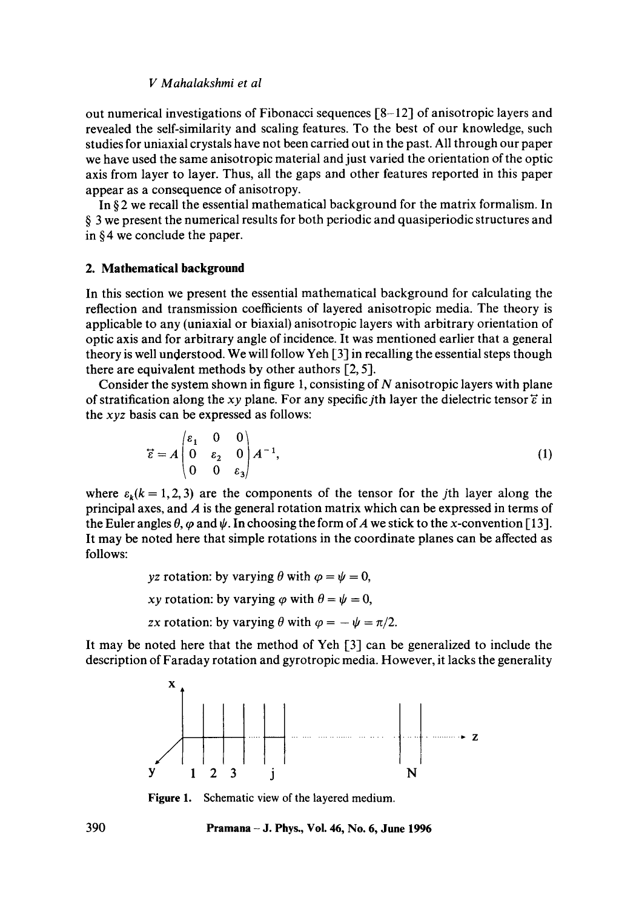out numerical investigations of Fibonacci sequences [8-12] of anisotropic layers and revealed the self-similarity and scaling features. To the best of our knowledge, such studies for uniaxial crystals have not been carried out in the past. All through our paper we have used the same anisotropic material and just varied the orientation of the optic axis from layer to layer. Thus, all the gaps and other features reported in this paper appear as a consequence of anisotropy.

In § 2 we recall the essential mathematical background for the matrix formalism. In § 3 we present the numerical results for both periodic and quasiperiodic structures and in § 4 we conclude the paper.

#### **2. Mathematical background**

In this section we present the essential mathematical background for calculating the reflection and transmission coefficients of layered anisotropic media. The theory is applicable to any (uniaxial or biaxial) anisotropic layers with arbitrary orientation of optic axis and for arbitrary angle of incidence. It was mentioned earlier that a general theory is well understood. We will follow Yeh [3] in recalling the essential steps though there are equivalent methods by other authors [2, 5].

Consider the system shown in figure 1, consisting of  $N$  anisotropic layers with plane of stratification along the *xy* plane. For any specific *j*th layer the dielectric tensor  $\vec{\epsilon}$  in the *xyz* basis can be expressed as follows:

$$
\vec{\epsilon} = A \begin{pmatrix} \epsilon_1 & 0 & 0 \\ 0 & \epsilon_2 & 0 \\ 0 & 0 & \epsilon_3 \end{pmatrix} A^{-1},\tag{1}
$$

where  $\varepsilon_k(k = 1, 2, 3)$  are the components of the tensor for the jth layer along the principal axes, and  $\vec{A}$  is the general rotation matrix which can be expressed in terms of the Euler angles  $\theta$ ,  $\varphi$  and  $\psi$ . In choosing the form of A we stick to the x-convention [13]. It may be noted here that simple rotations in the coordinate planes can be affected as follows:

*yz* rotation: by varying  $\theta$  with  $\varphi = \psi = 0$ ,

*xy* rotation: by varying  $\varphi$  with  $\theta = \psi = 0$ ,

*zx* rotation: by varying  $\theta$  with  $\varphi = -\psi = \pi/2$ .

It may be noted here that the method of Yeh [3] can be generalized to include the description of Faraday rotation and gyrotropic media. However, it lacks the generality



**Figure 1.**  Schematic view of the layered medium.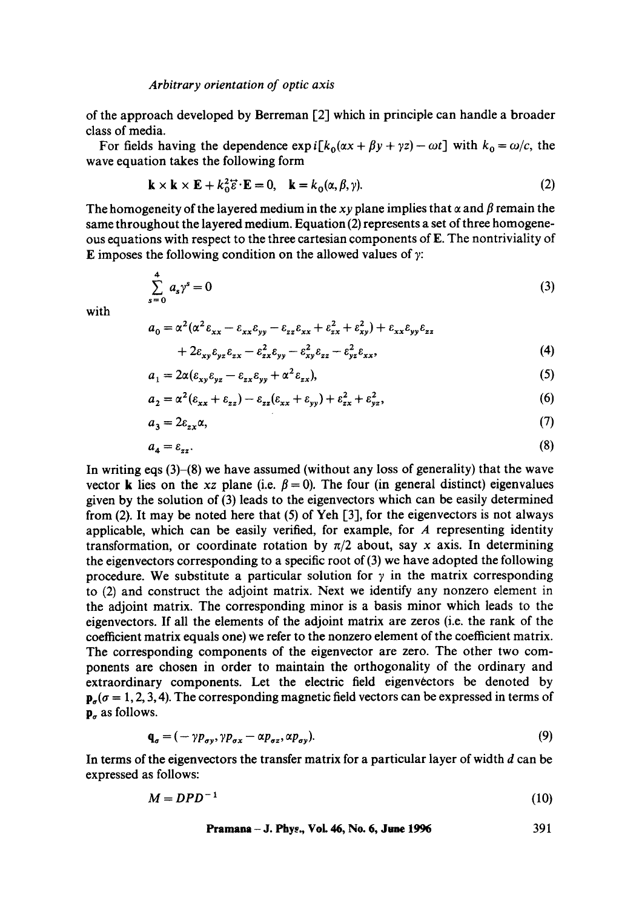of the approach developed by Berreman [2] which in principle can handle a broader class of media.

For fields having the dependence  $\exp i[k_0(\alpha x + \beta y + \gamma z) - \omega t]$  with  $k_0 = \omega/c$ , the wave equation takes the following form

$$
\mathbf{k} \times \mathbf{k} \times \mathbf{E} + k_0^2 \vec{\epsilon} \cdot \mathbf{E} = 0, \quad \mathbf{k} = k_0(\alpha, \beta, \gamma). \tag{2}
$$

The homogeneity of the layered medium in the *xy* plane implies that  $\alpha$  and  $\beta$  remain the same throughout the layered medium. Equation (2) represents a set of three homogeneous equations with respect to the three cartesian components of E. The nontriviality of E imposes the following condition on the allowed values of  $\gamma$ :

$$
\sum_{s=0}^{4} a_s \gamma^s = 0 \tag{3}
$$

with

$$
a_0 = \alpha^2 (\alpha^2 \varepsilon_{xx} - \varepsilon_{xx} \varepsilon_{yy} - \varepsilon_{zz} \varepsilon_{xx} + \varepsilon_{zx}^2 + \varepsilon_{xy}^2) + \varepsilon_{xx} \varepsilon_{yy} \varepsilon_{zz}
$$
  
+ 
$$
2\varepsilon_{xy} \varepsilon_{yz} \varepsilon_{zx} - \varepsilon_{zx}^2 \varepsilon_{yy} - \varepsilon_{xy}^2 \varepsilon_{zz} - \varepsilon_{yz}^2 \varepsilon_{xx},
$$
 (4)

$$
a_1 = 2\alpha (\varepsilon_{xy}\varepsilon_{yz} - \varepsilon_{zx}\varepsilon_{yy} + \alpha^2 \varepsilon_{zx}),
$$
 (5)

$$
a_2 = \alpha^2 (\varepsilon_{xx} + \varepsilon_{zz}) - \varepsilon_{zz} (\varepsilon_{xx} + \varepsilon_{yy}) + \varepsilon_{zx}^2 + \varepsilon_{yz}^2, \tag{6}
$$

$$
a_3 = 2\varepsilon_{zx}\alpha,\tag{7}
$$

$$
a_4 = \varepsilon_{zz}.\tag{8}
$$

In writing eqs  $(3)$ – $(8)$  we have assumed (without any loss of generality) that the wave vector **k** lies on the *xz* plane (i.e.  $\beta = 0$ ). The four (in general distinct) eigenvalues given by the solution of (3) leads to the eigenvectors which can be easily determined from  $(2)$ . It may be noted here that  $(5)$  of Yeh  $[3]$ , for the eigenvectors is not always applicable, which can be easily verified, for example, for  $A$  representing identity transformation, or coordinate rotation by  $\pi/2$  about, say x axis. In determining the eigenvectors corresponding to a specific root of (3) we have adopted the following procedure. We substitute a particular solution for  $\gamma$  in the matrix corresponding to (2) and construct the adjoint matrix. Next we identify any nonzero element in the adjoint matrix. The corresponding minor is a basis minor which leads to the eigenvectors. If all the elements of the adjoint matrix are zeros (i.e. the rank of the coefficient matrix equals one) we refer to the nonzero element of the coefficient matrix. The corresponding components of the eigenvector are zero. The other two components are chosen in order to maintain the orthogonality of the ordinary and extraordinary components. Let the electric field eigenvectors be denoted by  $p_{\sigma}(\sigma = 1, 2, 3, 4)$ . The corresponding magnetic field vectors can be expressed in terms of  $\mathbf{p}_{\sigma}$  as follows.

$$
\mathbf{q}_{\sigma} = (-\gamma p_{\sigma y}, \gamma p_{\sigma x} - \alpha p_{\sigma z}, \alpha p_{\sigma y}). \tag{9}
$$

In terms of the eigenvectors the transfer matrix for a particular layer of width  $d$  can be expressed as follows:

$$
M = D P D^{-1} \tag{10}
$$

**Pramana – J. Phys., Vol. 46, No. 6, June 1996** 
$$
391
$$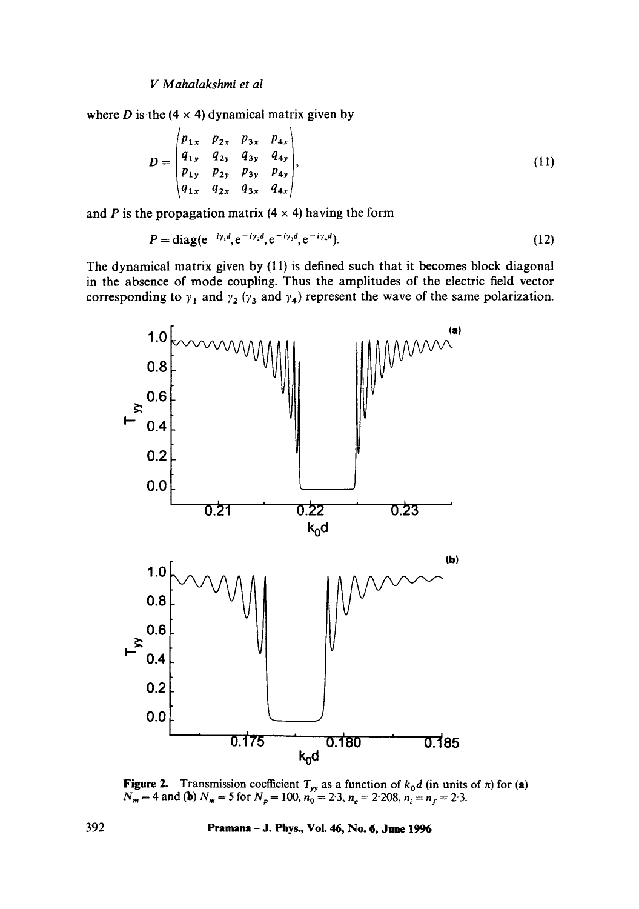*I/Mahalakshmi et al* 

where D is the  $(4 \times 4)$  dynamical matrix given by

$$
D = \begin{pmatrix} p_{1x} & p_{2x} & p_{3x} & p_{4x} \\ q_{1y} & q_{2y} & q_{3y} & q_{4y} \\ p_{1y} & p_{2y} & p_{3y} & p_{4y} \\ q_{1x} & q_{2x} & q_{3x} & q_{4x} \end{pmatrix},
$$
(11)

and P is the propagation matrix  $(4 \times 4)$  having the form

$$
P = \text{diag}(e^{-i\gamma_1 d}, e^{-i\gamma_2 d}, e^{-i\gamma_3 d}, e^{-i\gamma_4 d}).
$$
\n(12)

The dynamical matrix given by (11) is defined such that it becomes block diagonal in the absence of mode coupling. Thus the amplitudes of the electric field vector corresponding to  $\gamma_1$  and  $\gamma_2$  ( $\gamma_3$  and  $\gamma_4$ ) represent the wave of the same polarization.



**Figure 2.** Transmission coefficient  $T_{yy}$  as a function of  $k_0d$  (in units of  $\pi$ ) for (a)  $N_m = 4$  and (b)  $N_m = 5$  for  $N_p = 100$ ,  $n_0 = 2.3$ ,  $n_e = 2.208$ ,  $n_i = n_f = 2.3$ .

**392 Pramana - J. Phys., Vol. 46, No. 6, June 1996**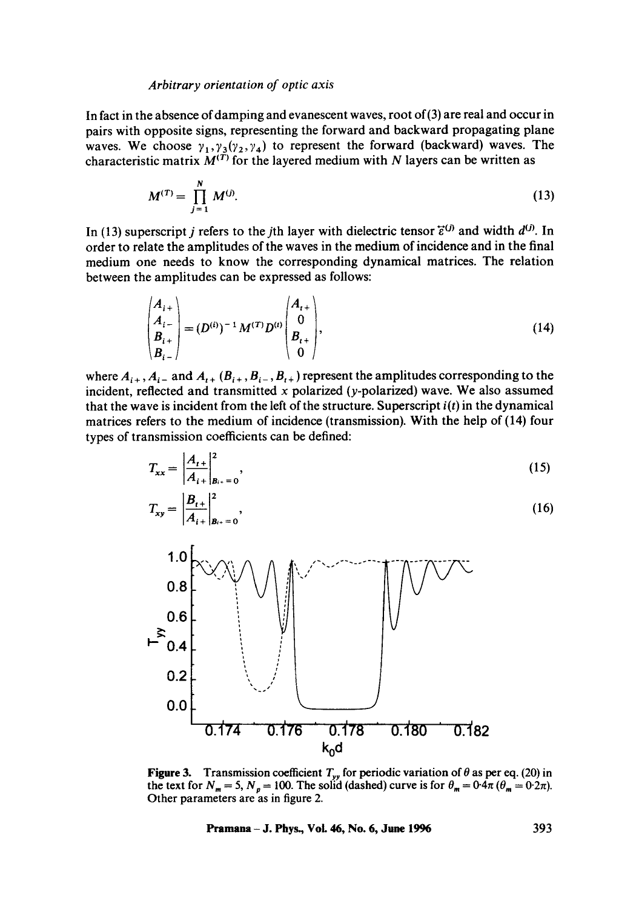In fact in the absence of damping and evanescent waves, root of(3) are real and occur in pairs with opposite signs, representing the forward and backward propagating plane waves. We choose  $\gamma_1, \gamma_3(\gamma_2, \gamma_4)$  to represent the forward (backward) waves. The characteristic matrix  $M^{(1)}$  for the layered medium with N layers can be written as

$$
M^{(T)} = \prod_{j=1}^{N} M^{(j)}.
$$
 (13)

In (13) superscript j refers to the jth layer with dielectric tensor  $\vec{\epsilon}^{(j)}$  and width  $d^{(j)}$ . In order to relate the amplitudes of the waves in the medium of incidence and in the final medium one needs to know the corresponding dynamical matrices. The relation between the amplitudes can be expressed as follows:

$$
\begin{pmatrix} A_{i+} \\ A_{i-} \\ B_{i+} \\ B_{i-} \end{pmatrix} = (D^{(i)})^{-1} M^{(T)} D^{(i)} \begin{pmatrix} A_{i+} \\ 0 \\ B_{i+} \\ 0 \end{pmatrix},
$$
\n(14)

where  $A_{i+}$ ,  $A_{i-}$  and  $A_{i+}$  ( $B_{i+}$ ,  $B_{i-}$ ,  $B_{i+}$ ) represent the amplitudes corresponding to the incident, reflected and transmitted x polarized (y-polarized) wave. We also assumed that the wave is incident from the left of the structure. Superscript *i(t)* in the dynamical matrices refers to the medium of incidence (transmission). With the help of (14) four types of transmission coefficicnts can be defined:

$$
T_{xx} = \left| \frac{A_{t+}}{A_{i+}} \right|_{B_{t+}}^2 = 0,
$$
\n(15)

$$
T_{xy} = \left| \frac{B_{t+}}{A_{i+}} \right|_{B_{t+}}^2 = 0,
$$
\n(16)



**Figure 3.** Transmission coefficient  $T_{yy}$  for periodic variation of  $\theta$  as per eq. (20) in the text for  $N_m = 5$ ,  $N_p = 100$ . The solid (dashed) curve is for  $\theta_m = 0.4\pi$  ( $\theta_m = 0.2\pi$ ). Other parameters are as in figure 2.

**Pramana - J. Phys., Vol. 46, No. 6, June 1996 393**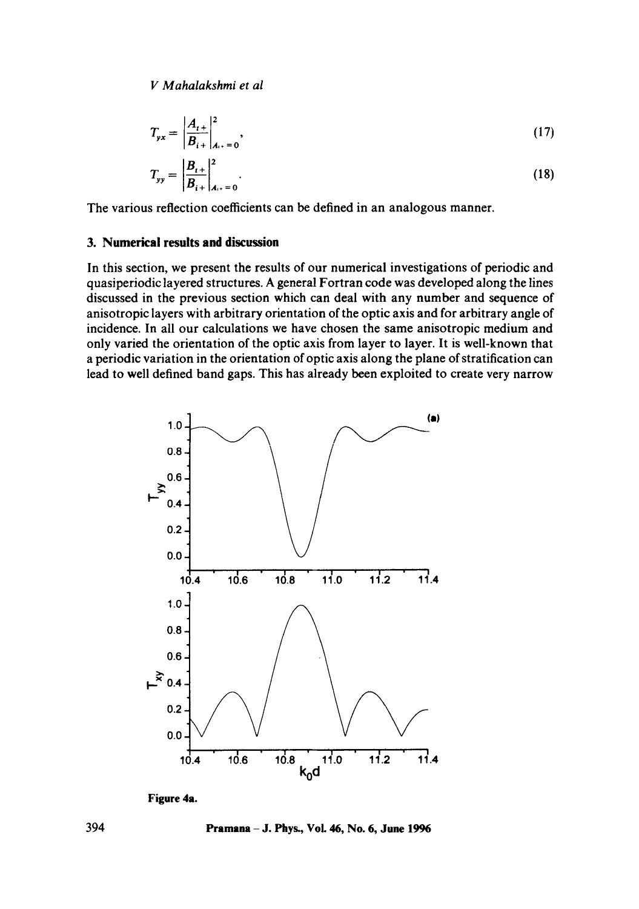$$
T_{yx} = \left| \frac{A_{t+}}{B_{t+}} \right|_{A_{t+}}^2, \tag{17}
$$

$$
T_{yy} = \left| \frac{B_{t+}}{B_{t+}} \right|_{A_{t+}}^2 = 0.
$$
 (18)

The various reflection coefficients can be defined in an analogous manner.

### **3. Numerical results and discussion**

In this section, we present the results of our numerical investigations of periodic and quasiperiodic layered structures. A general Fortran code was developed along the lines discussed in the previous section which can deal with any number and sequence of anisotropic layers with arbitrary orientation of the optic axis and for arbitrary angle of incidence. In all our calculations we have chosen the same anisotropic medium and only varied the orientation of the optic axis from layer to layer. It is well-known that a periodic variation in the orientation of optic axis along the plane of stratification can lead to well defined band gaps. This has already been exploited to create very narrow



**Figure 4a.** 

**394 Pramana - J. Phys., Vol. 46, No. 6, June 1996**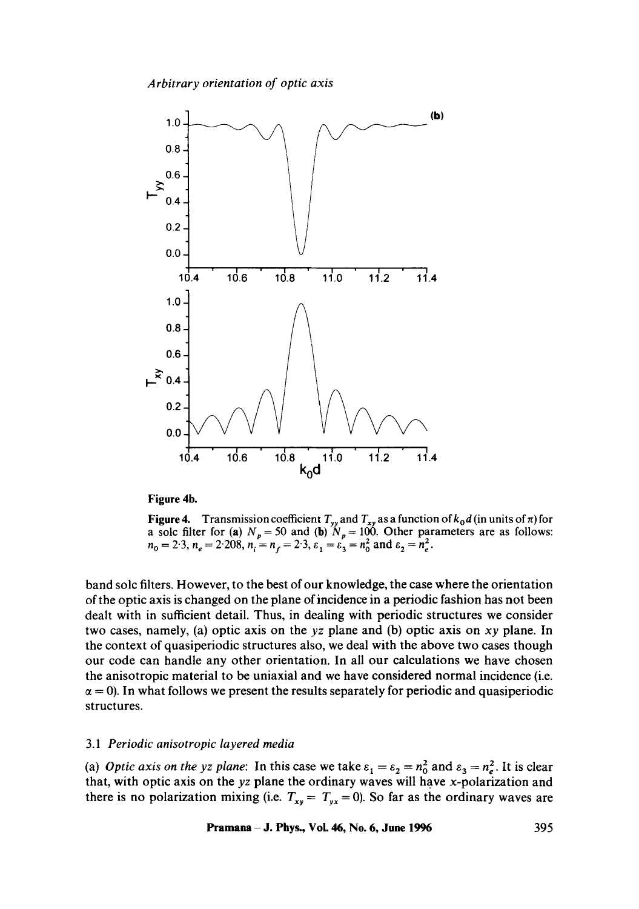

**Figure 4b.** 

**Figure 4.** Transmission coefficient  $T_{yy}$  and  $T_{xy}$  as a function of  $k_0d$  (in units of  $\pi$ ) for a sole filter for (a)  $N_p = 50$  and (b)  $N_p = 100$ . Other parameters are as follows:  $n_0 = 2.3, n_e = 2.208, n_i = n_f = 2.3, \varepsilon_1 = \varepsilon_3 = n_0^2$  and  $\varepsilon_2 = n_e^2$ .

band solc filters. However, to the best of our knowledge, the case where the orientation of the optic axis is changed on the plane of incidence in a periodic fashion has not been dealt with in sufficient detail. Thus, in dealing with periodic structures we consider two cases, namely, (a) optic axis on the *yz* plane and (b) optic axis on *xy* plane. In the context of quasiperiodic structures also, we deal with the above two cases though our code can handle any other orientation. In all our calculations we have chosen the anisotropic material to be uniaxial and we have considered normal incidence (i.e.  $\alpha = 0$ ). In what follows we present the results separately for periodic and quasiperiodic structures.

#### *3.1 Periodic anisotropic layered media*

(a) *Optic axis on the yz plane:* In this case we take  $\varepsilon_1 = \varepsilon_2 = n_0^2$  and  $\varepsilon_3 = n_e^2$ . It is clear that, with optic axis on the *yz* plane the ordinary waves will have x-polarization and there is no polarization mixing (i.e.  $T_{xy} = T_{yx} = 0$ ). So far as the ordinary waves are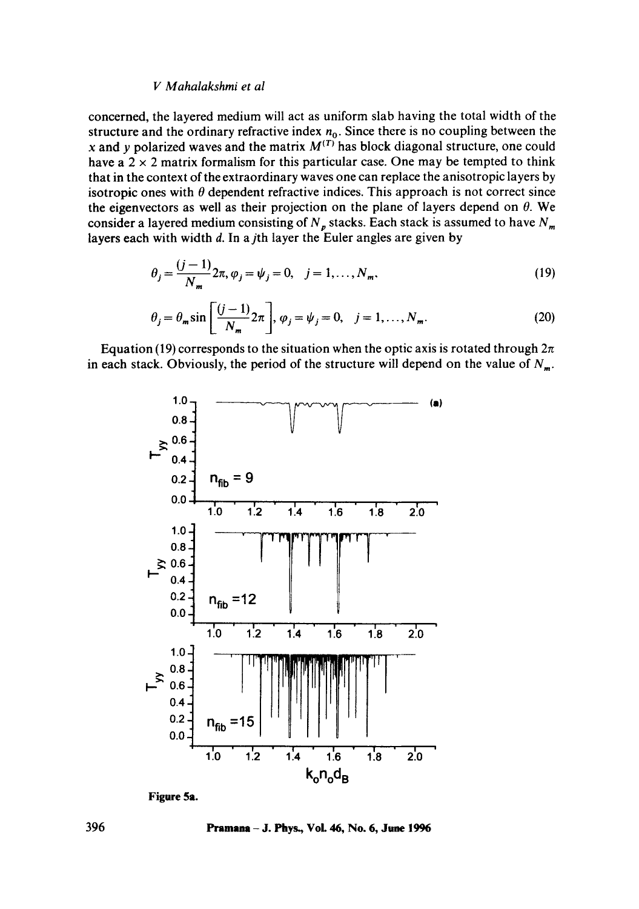concerned, the layered medium will act as uniform slab having the total width of the structure and the ordinary refractive index  $n_0$ . Since there is no coupling between the x and y polarized waves and the matrix  $M^{(T)}$  has block diagonal structure, one could have a  $2 \times 2$  matrix formalism for this particular case. One may be tempted to think that in the context of the extraordinary waves one can replace the anisotropic layers by isotropic ones with  $\theta$  dependent refractive indices. This approach is not correct since the eigenvectors as well as their projection on the plane of layers depend on  $\theta$ . We consider a layered medium consisting of  $N_p$  stacks. Each stack is assumed to have  $N_m$ . layers each with width  $d$ . In a *j*th layer the Euler angles are given by

$$
\theta_j = \frac{(j-1)}{N_m} 2\pi, \varphi_j = \psi_j = 0, \quad j = 1, ..., N_m,
$$
\n(19)

$$
\theta_j = \theta_m \sin \left[ \frac{(j-1)}{N_m} 2\pi \right], \varphi_j = \psi_j = 0, \quad j = 1, ..., N_m.
$$
 (20)

Equation (19) corresponds to the situation when the optic axis is rotated through  $2\pi$ in each stack. Obviously, the period of the structure will depend on the value of  $N_m$ .



**Figure 5a.** 

**396 Pramana - J. Phys., VoL 46, No. 6, June 1996**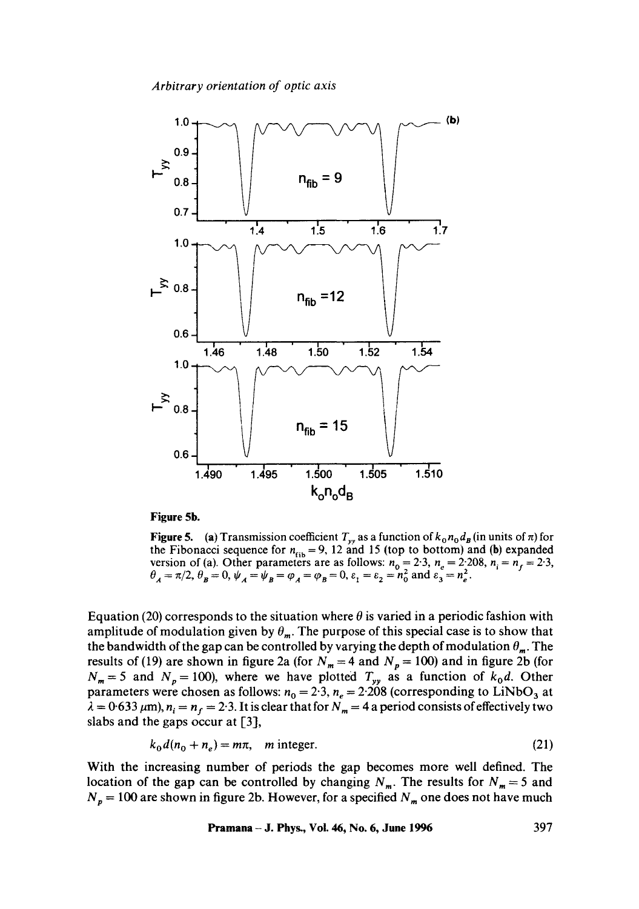

## **Figure 5b.**

**Figure 5.** (a) Transmission coefficient  $T_{yy}$  as a function of  $k_0 n_0 d_B$  (in units of  $\pi$ ) for the Fibonacci sequence for  $n_{\text{fin}} = 9$ , 12 and 15 (top to bottom) and (b) expanded version of (a). Other parameters are as follows:  $n_0 = 2.3$ ,  $n_s = 2.208$ ,  $n_i = n_f = 2.3$ ,  $\theta_A = \pi/2$ ,  $\theta_B = 0$ ,  $\psi_A = \psi_B = \phi_A = \phi_B = 0$ ,  $\varepsilon_1 = \varepsilon_2 = n_0^2$  and  $\varepsilon_3 = n_e^2$ .

Equation (20) corresponds to the situation where  $\theta$  is varied in a periodic fashion with amplitude of modulation given by  $\theta_m$ . The purpose of this special case is to show that the bandwidth of the gap can be controlled by varying the depth of modulation  $\theta_m$ . The results of (19) are shown in figure 2a (for  $N_m = 4$  and  $N_p = 100$ ) and in figure 2b (for  $N_m = 5$  and  $N_p = 100$ ), where we have plotted  $T_{yy}$  as a function of  $k_0d$ . Other parameters were chosen as follows:  $n_0 = 2.3$ ,  $n_e = 2.208$  (corresponding to LiNbO<sub>3</sub> at  $\lambda = 0.633 \ \mu \text{m}$ ,  $n_i = n_f = 2.3$ . It is clear that for  $N_m = 4$  a period consists of effectively two slabs and the gaps occur at [3],

$$
k_0 d(n_0 + n_e) = m\pi, \quad m \text{ integer.} \tag{21}
$$

With the increasing number of periods the gap becomes more well defined. The location of the gap can be controlled by changing  $N_m$ . The results for  $N_m = 5$  and  $N_p = 100$  are shown in figure 2b. However, for a specified  $N_m$  one does not have much

**Pramana** – **J. Phys., Vol. 46, No. 6, June 1996** 397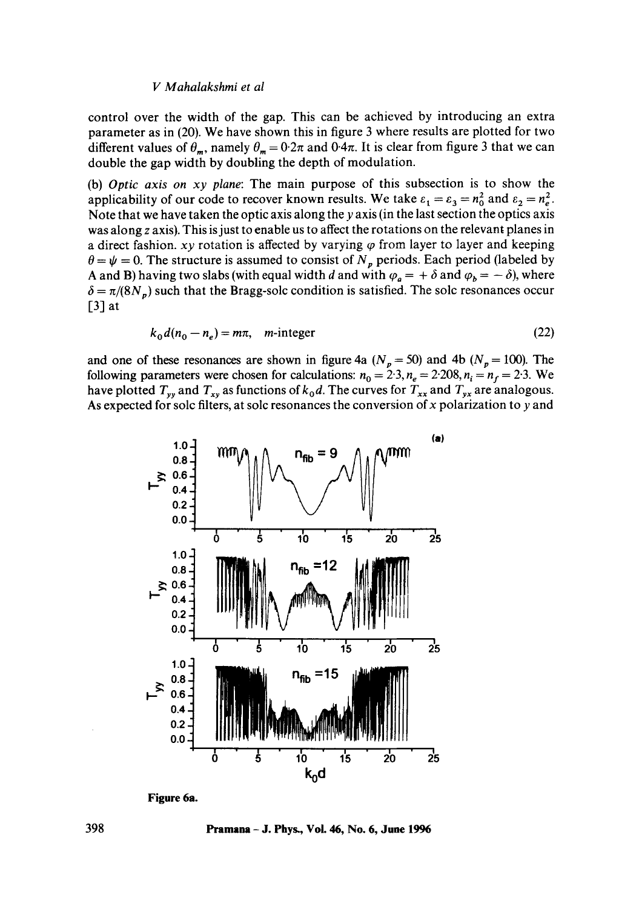control over the width of the gap. This can be achieved by introducing an extra parameter as in (20). We have shown this in figure 3 where results are plotted for two different values of  $\theta_m$ , namely  $\theta_m = 0.2\pi$  and  $0.4\pi$ . It is clear from figure 3 that we can double the gap width by doubling the depth of modulation.

(b) *Optic axis on xy plane:* The main purpose of this subsection is to show the applicability of our code to recover known results. We take  $\varepsilon_1 = \varepsilon_3 = n_0^2$  and  $\varepsilon_2 = n_e^2$ . Note that we have taken the optic axis along the y axis (in the last section the optics axis was along z axis). This is just to enable us to affect the rotations on the relevant planes in a direct fashion,  $xy$  rotation is affected by varying  $\varphi$  from layer to layer and keeping  $\theta = \psi = 0$ . The structure is assumed to consist of  $N_p$  periods. Each period (labeled by A and B) having two slabs (with equal width d and with  $\varphi_a = +\delta$  and  $\varphi_b = -\delta$ ), where  $\delta = \pi/(8N_p)$  such that the Bragg-solc condition is satisfied. The solc resonances occur  $\lceil 3 \rceil$  at

$$
k_0 d(n_0 - n_e) = m\pi, \quad m\text{-integer} \tag{22}
$$

and one of these resonances are shown in figure 4a  $(N_p = 50)$  and 4b  $(N_p = 100)$ . The following parameters were chosen for calculations:  $n_0 = 2.3$ ,  $n_e = 2.208$ ,  $n_i = n_f = 2.3$ . We have plotted  $T_{yy}$  and  $T_{xy}$  as functions of  $k_0d$ . The curves for  $T_{xx}$  and  $T_{yx}$  are analogous. As expected for solc filters, at solc resonances the conversion of  $x$  polarization to  $y$  and



**Figure 6a.** 

**398 Pramana - J. Phys., Voi. 46, No. 6, June 1996**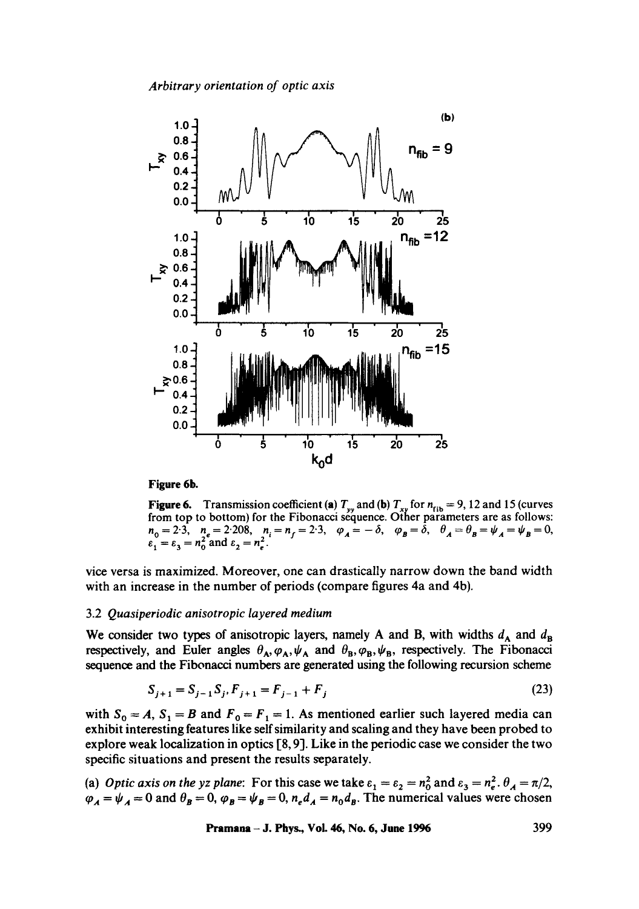

#### **Figure 6b.**

**Figure 6.** Transmission coefficient (a)  $T_w$  and (b)  $T_{xy}$  for  $n_{\text{fib}} = 9$ , 12 and 15 (curves from top to bottom) for the Fibonacci séquence. Other parameters are as follows:  $n_0 = 2.3, n_e = 2.208, n_i = n_f = 2.3, \varphi_A = -\delta, \varphi_B = \delta, \theta_A = \theta_B = \psi_A = \psi_B = 0$  $\varepsilon_1 = \varepsilon_3 = n_0^2$  and  $\varepsilon_2 = n_e^2$ .

vice versa is maximized. Moreover, one can drastically narrow down the band width with an increase in the number of periods (compare figures 4a and 4b).

### 3.2 *Quasiperiodic anisotropic layered medium*

We consider two types of anisotropic layers, namely A and B, with widths  $d_A$  and  $d_B$ respectively, and Euler angles  $\theta_A, \varphi_A, \psi_A$  and  $\theta_B, \varphi_B, \psi_B$ , respectively. The Fibonacci sequence and the Fibonacci numbers are generated using the following recursion scheme

$$
S_{j+1} = S_{j-1} S_j, F_{j+1} = F_{j-1} + F_j
$$
\n(23)

with  $S_0 = A$ ,  $S_1 = B$  and  $F_0 = F_1 = 1$ . As mentioned earlier such layered media can exhibit interesting features like self similarity and scaling and they have been probed to explore weak localization in optics [8, 9]. Like in the periodic case we consider the two specific situations and present the results separately.

(a) *Optic axis on the yz plane:* For this case we take  $\varepsilon_1 = \varepsilon_2 = n_0^2$  and  $\varepsilon_3 = n_e^2$ .  $\theta_A = \pi/2$ ,  $\varphi_A = \psi_A = 0$  and  $\theta_B = 0$ ,  $\varphi_B = \psi_B = 0$ ,  $n_e d_A = n_0 d_B$ . The numerical values were chosen

**Pramana** – J. Phys., Vol. 46, No. 6, June 1996 399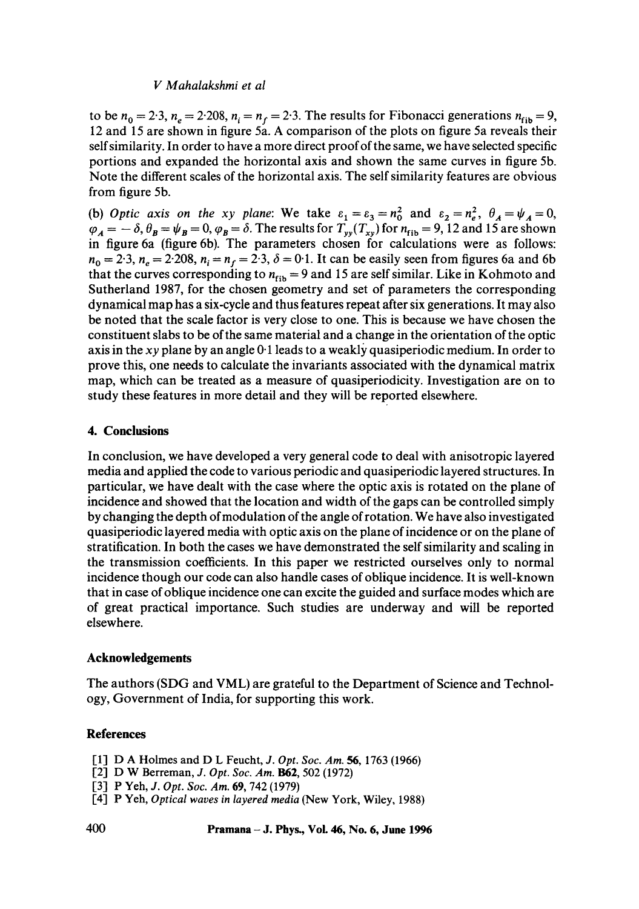to be  $n_0 = 2.3$ ,  $n_e = 2.208$ ,  $n_i = n_f = 2.3$ . The results for Fibonacci generations  $n_{\text{fib}} = 9$ , 12 and 15 are shown in figure 5a. A comparison of the plots on figure 5a reveals their self similarity. In order to have a more direct proof of the same, we have selected specific portions and expanded the horizontal axis and shown the same curves in figure 5b. Note the different scales of the horizontal axis. The self similarity features are obvious from figure 5b.

(b) *Optic axis on the xy plane:* We take  $\varepsilon_1 = \varepsilon_3 = n_0^2$  and  $\varepsilon_2 = n_e^2$ ,  $\theta_A = \psi_A = 0$ ,  $\varphi_A = -\delta$ ,  $\theta_B = \psi_B = 0$ ,  $\varphi_B = \delta$ . The results for  $T_{yy}(T_{xy})$  for  $n_{fib} = 9$ , 12 and 15 are shown in figure 6a (figure 6b). The parameters chosen for calculations were as follows:  $n_0 = 2.3$ ,  $n_e = 2.208$ ,  $n_i = n_f = 2.3$ ,  $\delta = 0.1$ . It can be easily seen from figures 6a and 6b that the curves corresponding to  $n_{\text{fib}} = 9$  and 15 are self similar. Like in Kohmoto and Sutherland 1987, for the chosen geometry and set of parameters the corresponding dynamical map has a six-cycle and thus features repeat after six generations. It may also be noted that the scale factor is very close to one. This is because we have chosen the constituent slabs to be of the same material and a change in the orientation of the optic axis in the *xy* plane by an angle 0.1 leads to a weakly quasiperiodic medium. In order to prove this, one needs to calculate the invariants associated with the dynamical matrix map, which can be treated as a measure of quasiperiodicity. Investigation are on to study these features in more detail and they will be reported elsewhere.

## **4. Conclusions**

In conclusion, we have developed a very general code to deal with anisotropic layered media and applied the code to various periodic and quasiperiodic layered structures. In particular, we have dealt with the case where the optic axis is rotated on the plane of incidence and showed that the location and width of the gaps can be controlled simply by changing the depth of modulation of the angle of rotation. We have also investigated quasiperiodic layered media with optic axis on the plane of incidence or on the plane of stratification. In both the cases we have demonstrated the self similarity and scaling in the transmission coefficients. In this paper we restricted ourselves only to normal incidence though our code can also handle cases of oblique incidence. It is well-known that in case of oblique incidence one can excite the guided and surface modes which are of great practical importance. Such studies are underway and will be reported elsewhere.

# **Acknowledgements**

The authors (SDG and VML) are grateful to the Department of Science and Technology, Government of India, for supporting this work.

# **References**

- [1] D A Holmes and D L Feucht, *J. Opt. Soc. Am.* 56, 1763 (1966)
- [2] D W Berreman, *J. Opt. Soc. Am.* **B62**, 502 (1972)
- [3] P Yeh, *J. Opt. Soc. Am.* 69, 742 (1979)
- 1-4] P Yeh, *Optical waves in layered media* (New York, Wiley, 1988)